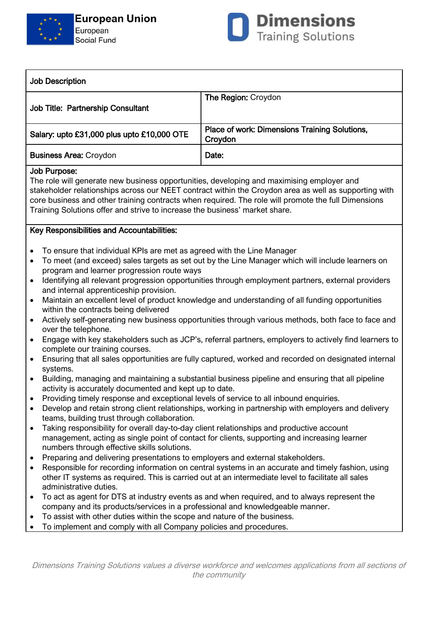



| <b>Job Description</b>                     |                                                                 |
|--------------------------------------------|-----------------------------------------------------------------|
| Job Title: Partnership Consultant          | The Region: Croydon                                             |
| Salary: upto £31,000 plus upto £10,000 OTE | <b>Place of work: Dimensions Training Solutions,</b><br>Croydon |
| <b>Business Area: Croydon</b>              | Date:                                                           |

## Job Purpose:

The role will generate new business opportunities, developing and maximising employer and stakeholder relationships across our NEET contract within the Croydon area as well as supporting with core business and other training contracts when required. The role will promote the full Dimensions Training Solutions offer and strive to increase the business' market share.

## Key Responsibilities and Accountabilities:

- To ensure that individual KPIs are met as agreed with the Line Manager
- To meet (and exceed) sales targets as set out by the Line Manager which will include learners on program and learner progression route ways
- Identifying all relevant progression opportunities through employment partners, external providers and internal apprenticeship provision.
- Maintain an excellent level of product knowledge and understanding of all funding opportunities within the contracts being delivered
- Actively self-generating new business opportunities through various methods, both face to face and over the telephone.
- Engage with key stakeholders such as JCP's, referral partners, employers to actively find learners to complete our training courses.
- Ensuring that all sales opportunities are fully captured, worked and recorded on designated internal systems.
- Building, managing and maintaining a substantial business pipeline and ensuring that all pipeline activity is accurately documented and kept up to date.
- Providing timely response and exceptional levels of service to all inbound enquiries.
- Develop and retain strong client relationships, working in partnership with employers and delivery teams, building trust through collaboration.
- Taking responsibility for overall day-to-day client relationships and productive account management, acting as single point of contact for clients, supporting and increasing learner numbers through effective skills solutions.
- Preparing and delivering presentations to employers and external stakeholders.
- Responsible for recording information on central systems in an accurate and timely fashion, using other IT systems as required. This is carried out at an intermediate level to facilitate all sales administrative duties.
- To act as agent for DTS at industry events as and when required, and to always represent the company and its products/services in a professional and knowledgeable manner.
- To assist with other duties within the scope and nature of the business.
- To implement and comply with all Company policies and procedures.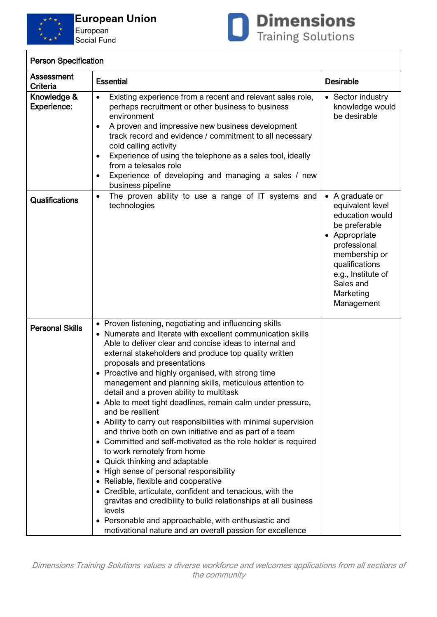



| <b>Person Specification</b> |
|-----------------------------|
|                             |

| Assessment<br>Criteria            | <b>Essential</b>                                                                                                                                                                                                                                                                                                                                                                                                                                                                                                                                                                                                                                                                                                                                                                                                                                                                                                                                                                                                                                                                                                                           | <b>Desirable</b>                                                                                                                                                                                          |
|-----------------------------------|--------------------------------------------------------------------------------------------------------------------------------------------------------------------------------------------------------------------------------------------------------------------------------------------------------------------------------------------------------------------------------------------------------------------------------------------------------------------------------------------------------------------------------------------------------------------------------------------------------------------------------------------------------------------------------------------------------------------------------------------------------------------------------------------------------------------------------------------------------------------------------------------------------------------------------------------------------------------------------------------------------------------------------------------------------------------------------------------------------------------------------------------|-----------------------------------------------------------------------------------------------------------------------------------------------------------------------------------------------------------|
| Knowledge &<br><b>Experience:</b> | Existing experience from a recent and relevant sales role,<br>$\bullet$<br>perhaps recruitment or other business to business<br>environment<br>A proven and impressive new business development<br>$\bullet$<br>track record and evidence / commitment to all necessary<br>cold calling activity<br>Experience of using the telephone as a sales tool, ideally<br>٠<br>from a telesales role<br>Experience of developing and managing a sales / new<br>$\bullet$<br>business pipeline                                                                                                                                                                                                                                                                                                                                                                                                                                                                                                                                                                                                                                                      | • Sector industry<br>knowledge would<br>be desirable                                                                                                                                                      |
| <b>Qualifications</b>             | The proven ability to use a range of IT systems and<br>$\bullet$<br>technologies                                                                                                                                                                                                                                                                                                                                                                                                                                                                                                                                                                                                                                                                                                                                                                                                                                                                                                                                                                                                                                                           | • A graduate or<br>equivalent level<br>education would<br>be preferable<br>• Appropriate<br>professional<br>membership or<br>qualifications<br>e.g., Institute of<br>Sales and<br>Marketing<br>Management |
| <b>Personal Skills</b>            | • Proven listening, negotiating and influencing skills<br>• Numerate and literate with excellent communication skills<br>Able to deliver clear and concise ideas to internal and<br>external stakeholders and produce top quality written<br>proposals and presentations<br>• Proactive and highly organised, with strong time<br>management and planning skills, meticulous attention to<br>detail and a proven ability to multitask<br>• Able to meet tight deadlines, remain calm under pressure,<br>and be resilient<br>• Ability to carry out responsibilities with minimal supervision<br>and thrive both on own initiative and as part of a team<br>• Committed and self-motivated as the role holder is required<br>to work remotely from home<br>• Quick thinking and adaptable<br>• High sense of personal responsibility<br>• Reliable, flexible and cooperative<br>• Credible, articulate, confident and tenacious, with the<br>gravitas and credibility to build relationships at all business<br>levels<br>• Personable and approachable, with enthusiastic and<br>motivational nature and an overall passion for excellence |                                                                                                                                                                                                           |